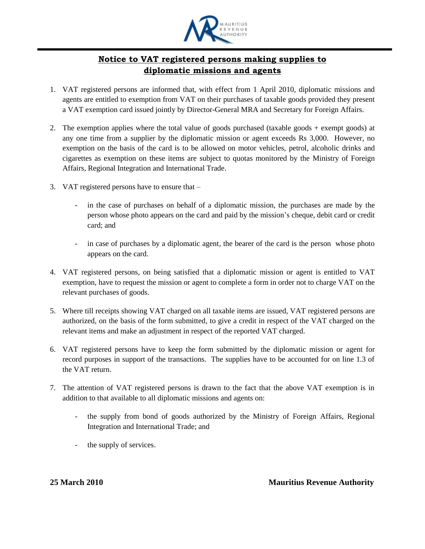

## **Notice to VAT registered persons making supplies to diplomatic missions and agents**

- 1. VAT registered persons are informed that, with effect from 1 April 2010, diplomatic missions and agents are entitled to exemption from VAT on their purchases of taxable goods provided they present a VAT exemption card issued jointly by Director-General MRA and Secretary for Foreign Affairs.
- 2. The exemption applies where the total value of goods purchased (taxable goods + exempt goods) at any one time from a supplier by the diplomatic mission or agent exceeds Rs 3,000. However, no exemption on the basis of the card is to be allowed on motor vehicles, petrol, alcoholic drinks and cigarettes as exemption on these items are subject to quotas monitored by the Ministry of Foreign Affairs, Regional Integration and International Trade.
- 3. VAT registered persons have to ensure that
	- in the case of purchases on behalf of a diplomatic mission, the purchases are made by the person whose photo appears on the card and paid by the mission's cheque, debit card or credit card; and
	- in case of purchases by a diplomatic agent, the bearer of the card is the person whose photo appears on the card.
- 4. VAT registered persons, on being satisfied that a diplomatic mission or agent is entitled to VAT exemption, have to request the mission or agent to complete a form in order not to charge VAT on the relevant purchases of goods.
- 5. Where till receipts showing VAT charged on all taxable items are issued, VAT registered persons are authorized, on the basis of the form submitted, to give a credit in respect of the VAT charged on the relevant items and make an adjustment in respect of the reported VAT charged.
- 6. VAT registered persons have to keep the form submitted by the diplomatic mission or agent for record purposes in support of the transactions. The supplies have to be accounted for on line 1.3 of the VAT return.
- 7. The attention of VAT registered persons is drawn to the fact that the above VAT exemption is in addition to that available to all diplomatic missions and agents on:
	- the supply from bond of goods authorized by the Ministry of Foreign Affairs, Regional Integration and International Trade; and
	- the supply of services.

**25 March 2010 Mauritius Revenue Authority**